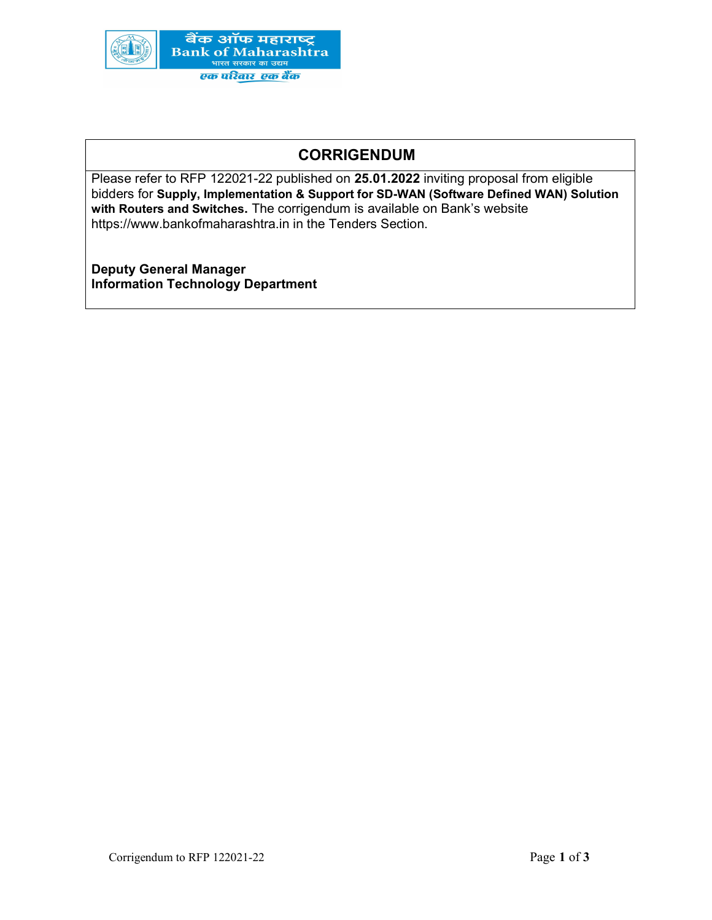

## CORRIGENDUM

Please refer to RFP 122021-22 published on 25.01.2022 inviting proposal from eligible bidders for Supply, Implementation & Support for SD-WAN (Software Defined WAN) Solution with Routers and Switches. The corrigendum is available on Bank's website https://www.bankofmaharashtra.in in the Tenders Section.

Deputy General Manager Information Technology Department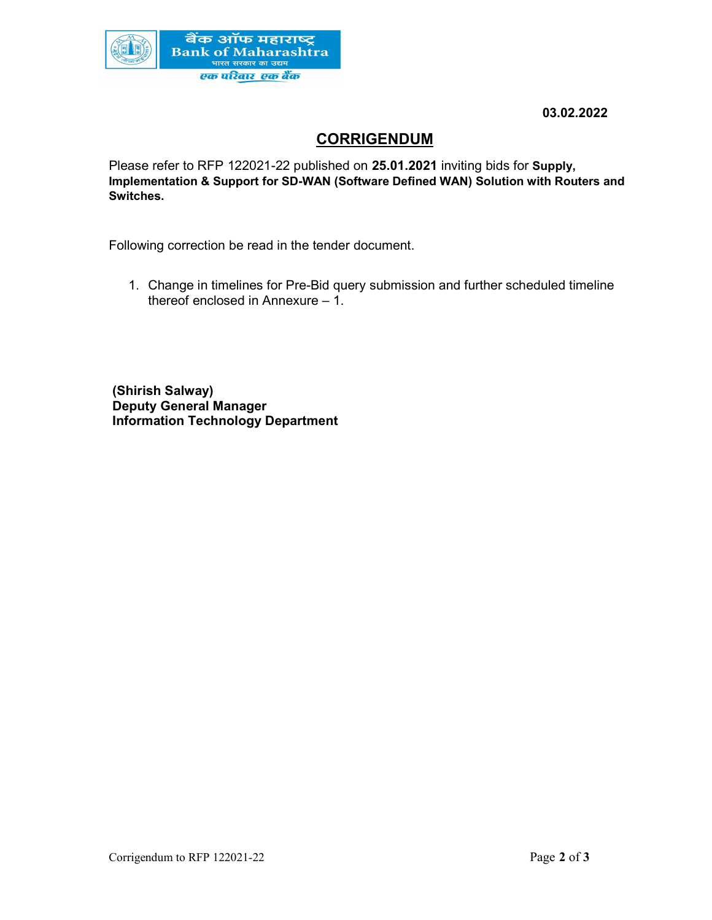

03.02.2022

# **CORRIGENDUM**

Please refer to RFP 122021-22 published on 25.01.2021 inviting bids for Supply, Implementation & Support for SD-WAN (Software Defined WAN) Solution with Routers and Switches.

Following correction be read in the tender document.

1. Change in timelines for Pre-Bid query submission and further scheduled timeline thereof enclosed in Annexure – 1.

 (Shirish Salway) Deputy General Manager Information Technology Department